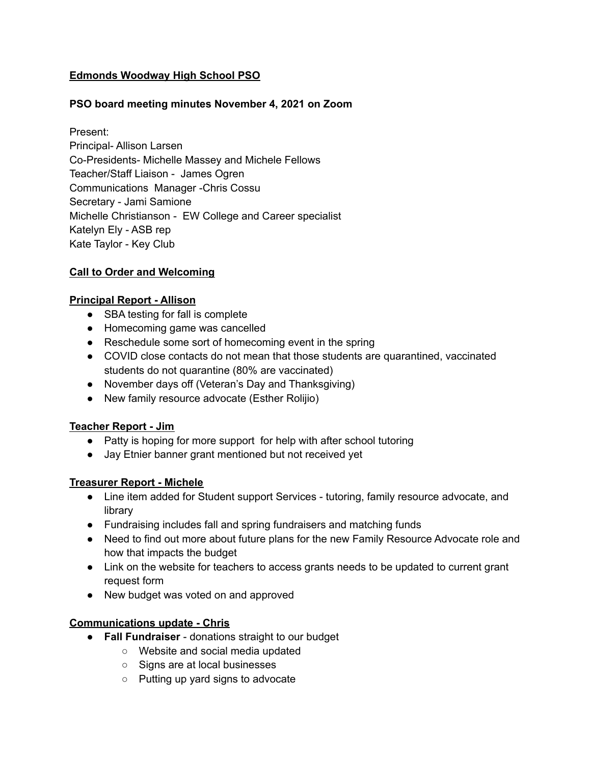# **Edmonds Woodway High School PSO**

# **PSO board meeting minutes November 4, 2021 on Zoom**

Present: Principal- Allison Larsen Co-Presidents- Michelle Massey and Michele Fellows Teacher/Staff Liaison - James Ogren Communications Manager -Chris Cossu Secretary - Jami Samione Michelle Christianson - EW College and Career specialist Katelyn Ely - ASB rep Kate Taylor - Key Club

### **Call to Order and Welcoming**

#### **Principal Report - Allison**

- SBA testing for fall is complete
- Homecoming game was cancelled
- Reschedule some sort of homecoming event in the spring
- COVID close contacts do not mean that those students are quarantined, vaccinated students do not quarantine (80% are vaccinated)
- November days off (Veteran's Day and Thanksgiving)
- New family resource advocate (Esther Rolijio)

### **Teacher Report - Jim**

- Patty is hoping for more support for help with after school tutoring
- Jay Etnier banner grant mentioned but not received yet

### **Treasurer Report - Michele**

- Line item added for Student support Services tutoring, family resource advocate, and library
- Fundraising includes fall and spring fundraisers and matching funds
- Need to find out more about future plans for the new Family Resource Advocate role and how that impacts the budget
- Link on the website for teachers to access grants needs to be updated to current grant request form
- New budget was voted on and approved

### **Communications update - Chris**

- **Fall Fundraiser** donations straight to our budget
	- Website and social media updated
	- Signs are at local businesses
	- Putting up yard signs to advocate